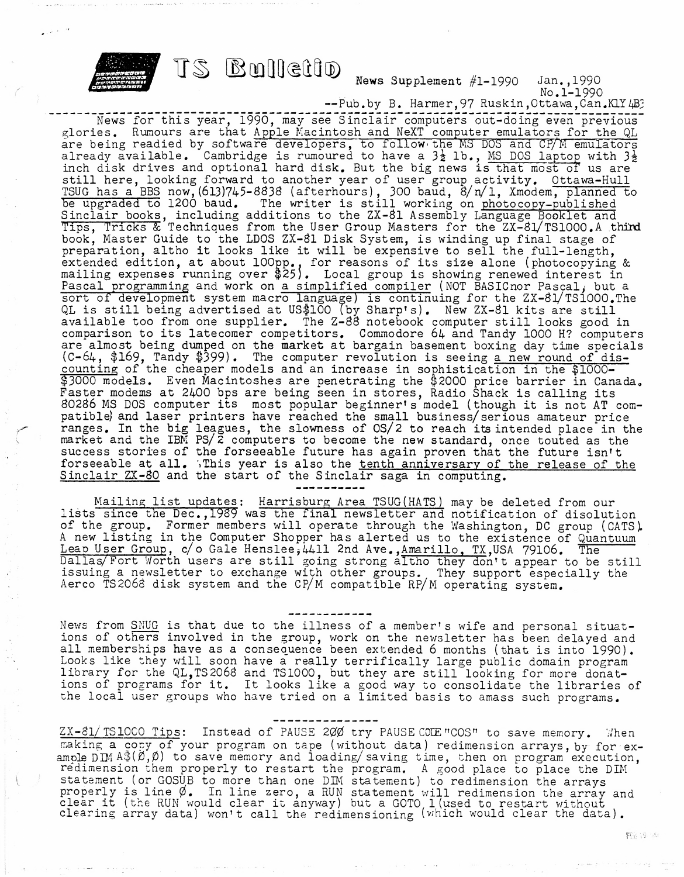

News Supplement  $#1-1990$  Jan., 1990 No.1-1990

-- Pub.by B. Harmer, 97 Ruskin, Ottawa, Can.KlY4B?

News for this year, 1990, may see Sinclair computers out-doing even previous glories. Rumours are that Apple Macintosh and NeXT computer emulators for the QL are being readied by software developers, to follow the MS DOS and CP/M emulators are being readied by soltware developers, to follow the ms bos and crym emulators already available. Cambridge is rumoured to have a  $3\frac{1}{2}$  lb., MS DOS laptop with  $3\frac{1}{2}$ inch disk drives and optional hard disk. But the big news is that most of us are inch disk drives and optional hard disk. But the big news is that most of us are<br>still here, looking forward to another year of user group activity. Ottawa-Hull TSUG has a BBS now, (613)745-8838 (afterhours), 300 baud, 8/n/l, Xmodem, planned to<br>be upgraded to 1200 baud. The writer is still working on photocopy-published be upgraded to 1200 baud. The writer is still working on photocopy-published<br>Sinclair books, including additions to the ZX-81 Assembly Language Booklet and Tips, Tricks & Techniques from the User Group Masters for the ZX-81/TS1000.A third book. Master Guide to the LDOS ZX-Bl Disk System, is winding up final stage of book, Master Guide to the LDOS ZA-81 Disk System, is winding up final stage of<br>preparation, altho it looks like it will be expensive to sell the full-length, preparation, altho it looks like it will be expensive to sell the full-length,<br>extended edition, at about 100pp., for reasons of its size alone (photocopying & excended edition, at about loopp., for reasons of its size afone (photocopying<br>mailing expenses running over \$25). Local group is showing renewed interest in Pascal programming and work on a simplified compiler (NOT BASICnor Pascaly but a sort of development system macro language) is continuing for the ZX-Bl/TSlOOO.The QL is still being advertised at US\$100 (by Sharp's), New ZX-Sl kits are still available too from one supplier. The Z-88 notebook computer still looks good in comparison to its latecomer competitors. Commodore 6k and Tandy <sup>1000</sup> H? computers are almpst being dumped on the market at bargain basement boxing day time specials are almost being dumped on the market at bargain basement boxing day time specia<br>(C-64, \$169, Tandy \$399). The computer revolution is seeing <u>a new round of dis-</u> counting of the cheaper models and an increase in sophistication in the \$1000-\$3000 models. Even Macintoshes are penetrating the \$2000 price barrier in Canada. Faster modems at 2400 bps are being seen in stores, Radio Shack is calling its <sup>80286</sup> MS DOS computer its most popular beginner's model (though it is not AT com patible) and laser printers have reached the small business/serious amateur price ranges. In the big leagues, the slowness of OS/2 to reach its intended place in the market and the IBM PS/2 computers to become the new standard, once touted as the success stories of the forseeable future has again proven that the future isn't forseeable at all. '.This year is also the tenth anniversary of the release of the Sinclair  $ZX-80$  and the start of the Sinclair saga in computing.

Mailing list updates; Harrisburg Area TSUG(HATS) may be deleted from our lists since the Dec,,1989 was the final newsletter and notification of disolution of the group. Former members will operate through the Washington, DC group (CATS). of the group. Former members will operate through the washington, be group (CATS) A new fisting in the Computer Shopper has alerted us to the existence of Qua<br>Leap User Group, c/o Gale Henslee,4411 2nd Ave.,<u>Amarillo, TX</u>,USA 79106. The Leap user Group, c/o Gale Henslee, 4411 znd Ave., Amarillo, TX, USA 79106. The<br>Dallas/Fort Worth users are still going strong altho they don't appear to be still issuing a newsletter to exchange with other groups. They support especially the Aerco TS2068 disk system and the CP/M compatible RP/M operating system.

News from SNUG is that due to the illness of a member's wife and personal situations of others involved in the group, work on the newsletter has been delayed and all memberships have as a consequence been extended 6 months (that is into 1990). air memberships have as a consequence been excended 6 months (that is into 1990)<br>Looks like they will soon have a really terrifically large public domain program LOOKS TIKE THEY WILL SOON Have a really terrifically large public domain program<br>library for the QL,TS2068 and TS1000, but they are still looking for more donations of programs for it. It looks like <sup>a</sup> good way to consolidate the libraries of the local user groups who have tried on a limited basis to amass such programs.

 $ZX-81/$  TS1000 Tips: Instead of PAUSE 200 try PAUSE COLE "COS" to save memory. When making a copy of your program on tape (without data) redimension arrays, by for example DIM  $A\$ ( $\emptyset$ , $\emptyset$ ) to save memory and loading/saving time, then on program execution, redimension them properly to restart the program. A good place to place the DIM statement (or GOSUB to more than one DIM statement) to redimension the arrays properly is line  $\emptyset$ . In line zero, a RUN statement will redimension the array and properly is line  $\varphi$ . In line zero, a HUN statement will redimension the array<br>clear it (the RUN would clear it anyway) but a GOTO 1 (used to restart without clear it (the now would clear it anyway) but a GOIO I (used to restart without).<br>clearing array data) won't call the redimensioning (which would clear the data).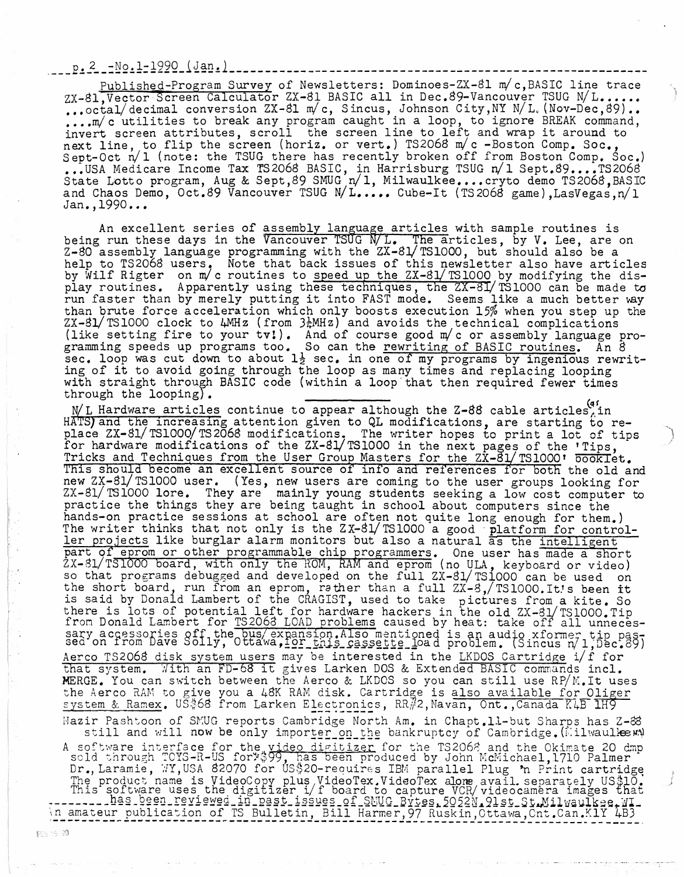$p. 2 - No. 1 - 1990 (Jan.)$ 

Published-Program Survey of Newsletters: Dominoes-ZX-81 m/c,BASIC line trace Survey of Newsletters: Dominoes-ZX-81 m/c, BASIC line trace<br>
culator ZX-81 BASIC all in Dec.89-Vancouver TSUG N/L.....<br>
sion ZX-81 m/c, Sincus, Johnson City, NY N/L, (Nov-Dec,89)...<br>
eak any program caught in a loop, to ig ZX-81, Vector Screen Calculator ZX-81 BASIC all in Dec.89-Vancouver TSUG N/L...... ,,.octal/decimal conversion ZX-Sl m/c, Sineus, Johnson City,NY N/L.(Nov-Dec,S9).. ... octal/decimal conversion  $\forall x$ -ol m/c, sincus, Johnson Clty, NI N/L. (NOV-Dec, 09)...<br>...m/c utilities to break any program caught in a loop, to ignore BREAK command, invert screen attributes, scroll the screen line to left and wrap it around to next line, to flip the screen (horiz, or vert.) TS2068 m/c -Boston Comp. Soc., Sept-Oct n/1 (note: the TSUG there has recently broken off from Boston Comp. Soc.) ...USA Medicare Income Tax TS2068 BASIC, in Harrisburg TSUG n/1 Sept.89....TS2068 State Lotto program, Aug k Sept,S9 SMUG n/l, Milwaulkee.,..cryto demo TS206S,BASIC state Lotto program, Aug & Sept, 89 SMUG n/ 1, Milwaulkee....Cryto demo TS2068, BAS1<br>and Chaos Demo, Oct.89 Vancouver TSUG N/L..... Cube-It (TS2068 game),LasVegas,n/1 Jan.,1990...

assembly language articles with sample routines is assembly language articles with sample routines is<br>Vancouver TSUG N/L. The articles, by V. Lee, are on help to TS206S users. Note that back issues of this newsletter also have articles by Wilf Rigter on m/c routines to speed up the ZX-81/TS1000 by modifying the disby whit higher on my croadings to <u>speed ap the axed follow</u> by modifying the dis-<br>play routines. Apparently using these techniques, the ZX-8I/TS1000 can be made to<br>run faster than by merely putting it into FAST mode. Seem run faster than by merely putting it into FAST mode. Seems like a much better way<br>than brute force acceleration which only boosts execution 15% when you step up the  $ZX-31/$  TS1000 clock to  $4MHz$  (from  $3\frac{1}{4}MHz)$  and avoids the technical complications  $($ like setting fire to your tv!). And of course good m/c or assembly language pro-(like secting fire to your tv:). And of course good my c or assembly language p<br>gramming speeds up programs too. So can the <u>rewriting of BASIC routines</u>. An 8 sec. loop was cut down to about  $1\frac{1}{2}$  sec. in one of my programs by ingenious rewriting of it to avoid going through the loop as many times and replacing looping with straight through BASIC code (within a loop that then required fewer times which soldight only sagned. speed up these techniq<br>it into FAST<br>it into FAST<br>holy boost<br> $\frac{1}{6}$ MHz) and av<br>And of cours<br>So can the <u>r</u><br>sec. in one<br>he loop as m<br>within a loo<br>within a loo<br>within a loo<br>within a loo<br>igpear alth<br>given to QL<br>tions. The

N/L Hardware articles continue to appear although the Z-88 cable articles<sup>(4'</sup>in HATS) and the increasing attention given to QL modifications, are starting to replace ZX-S1/TS1000/TS2068 modifications. The writer hopes to print a lot of tips for hardware modifications of the ZX-Sl/TSIOOO in the next pages of the 'Tips, Tricks and Techniques from the User Group Masters for the ZX-81/TS1000' booklet. This should become an excellent source of info and references for both the old and new ZX-Sl/TSIOOO user. (Yes, new users are coming to the user groups looking for ZX-31/TSIOOO lore. They are mainly young students seeking a low cost computer to practice the things they are being taught in school about computers since the hands-on practice sessions at school are often not quite long enough for them.) The writer thinks that not only is the ZX-81/TS1000 a good platform for controller projects like burglar alarm monitors but also a natural as the intelligent ler projects like burglar alarm monitors but also a natural as the <u>intelligent</u><br>part of eprom or other programmable chip programmers. One user has made a short  $ZX-31/TS1000$  board, with only the ROM, RAM and eprom (no ULA, keyboard or video) so that programs debugged and developed on the full ZX-Sl/TSIOOO can be used on the short board, run from an eprom, rather than a full ZX-8,/TS1000.It's been it is said by Donald Lambert of the CRAGIST, used to take pictures from a kite. So there is lots of potential left for hardware hackers in the old ZX-81/TS1000.Tip from Donald Lambert for TS2068 LOAD problems caused by heat: take off all unnecesit on Bohard Bamber of tor 192000 EOAB problems caused by heat. Cake off and unneces-<br>sary accessories off the bus/ expansion, Also mentioned is an audio xformer tip pas-<br>sed on from Dave Solly, Ottawa, <u>for this cassette</u> Aerco TS2068 disk system users may be interested in the LKDOS Cartridge i/f for that system. With an FD-68 it gives Larken DOS & Extended BASIC commands incl. that system. With an FD-08 it gives Larken DOS & Extended BASIC commands incl.<br>MERGE. You can switch between the Aerco & LKDOS so you can still use RP/M.It uses<br>the Aerco RAM to give you a 48K RAM disk. Cartridge is also a the Aerco RAM to give you a 48K RAM disk. Cartridge is also available for Oliger<br>system & Ramex. US\$68 from Larken Electronics, RR#2,Mavan, Ont.,Canada K4B 1H9 Mazir Pashtoon of SMUG reports Cambridge North Am. in Chapt.11-but Sharps has Z-& still and will now be only importer\_on\_the bankruptcy of Cambridge, (Milwaulkew) A software interface for the video digitizer for the TS2068 and the Okimate 20 dmp sold through TOYS-R-US for \$99, has been produced by John McMichael, 1710 Palmer Dr., Laramie, WY, USA 82070 for US\$20-requires IBM parallel Plug \*n Print cartridge In product name is VideoCopy plus VideoTex. VideoTex alone avail, separately US\$10.<br>This software uses the digitizer i/f board to capture VCR/videocamera images that This software uses the digitizer i/f board to capture VCR/videocamera images that<br>-------\_\_\_Bas\_been\_reviewed\_in\_past\_issues\_of\_SMUG\_Bytes,5052N\_9lst\_St.Milwaulkee.WI\_<br>\n amateur publication of TS Bulletin, Bill Harmer,97

\$69.19.180